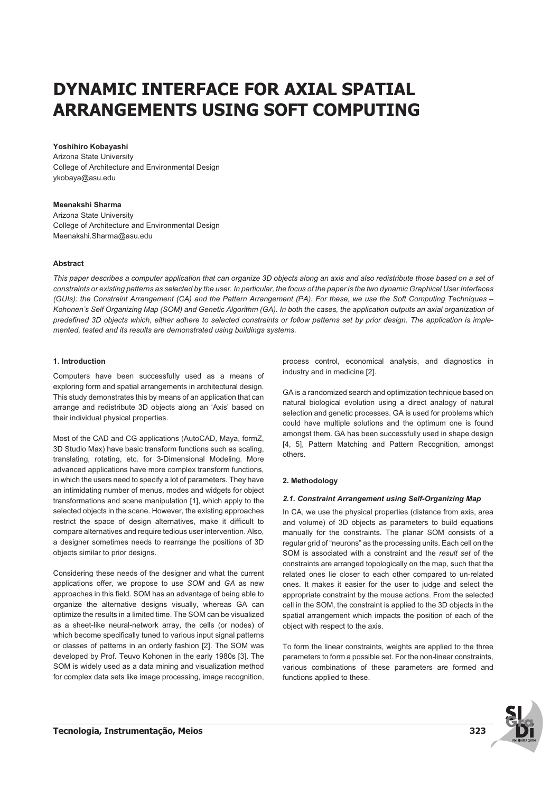# **DYNAMIC INTERFACE FOR AXIAL SPATIAL ARRANGEMENTS USING SOFT COMPUTING**

## **Yoshihiro Kobayashi**

Arizona State University College of Architecture and Environmental Design ykobaya@asu.edu

# **Meenakshi Sharma**

Arizona State University College of Architecture and Environmental Design Meenakshi.Sharma@asu.edu

## **Abstract**

*This paper describes a computer application that can organize 3D objects along an axis and also redistribute those based on a set of constraints or existing patterns as selected by the user. In particular, the focus of the paper is the two dynamic Graphical User Interfaces (GUIs): the Constraint Arrangement (CA) and the Pattern Arrangement (PA). For these, we use the Soft Computing Techniques – Kohonen's Self Organizing Map (SOM) and Genetic Algorithm (GA). In both the cases, the application outputs an axial organization of predefined 3D objects which, either adhere to selected constraints or follow patterns set by prior design. The application is implemented, tested and its results are demonstrated using buildings systems.*

## **1. Introduction**

Computers have been successfully used as a means of exploring form and spatial arrangements in architectural design. This study demonstrates this by means of an application that can arrange and redistribute 3D objects along an 'Axis' based on their individual physical properties.

Most of the CAD and CG applications (AutoCAD, Maya, formZ, 3D Studio Max) have basic transform functions such as scaling, translating, rotating, etc. for 3-Dimensional Modeling. More advanced applications have more complex transform functions, in which the users need to specify a lot of parameters. They have an intimidating number of menus, modes and widgets for object transformations and scene manipulation [1], which apply to the selected objects in the scene. However, the existing approaches restrict the space of design alternatives, make it difficult to compare alternatives and require tedious user intervention. Also, a designer sometimes needs to rearrange the positions of 3D objects similar to prior designs.

Considering these needs of the designer and what the current applications offer, we propose to use *SOM* and *GA* as new approaches in this field. SOM has an advantage of being able to organize the alternative designs visually, whereas GA can optimize the results in a limited time. The SOM can be visualized as a sheet-like neural-network array, the cells (or nodes) of which become specifically tuned to various input signal patterns or classes of patterns in an orderly fashion [2]. The SOM was developed by Prof. Teuvo Kohonen in the early 1980s [3]. The SOM is widely used as a data mining and visualization method for complex data sets like image processing, image recognition,

process control, economical analysis, and diagnostics in industry and in medicine [2].

GA is a randomized search and optimization technique based on natural biological evolution using a direct analogy of natural selection and genetic processes. GA is used for problems which could have multiple solutions and the optimum one is found amongst them. GA has been successfully used in shape design [4, 5], Pattern Matching and Pattern Recognition, amongst others.

# **2. Methodology**

## **2.1. Constraint Arrangement using Self-Organizing Map**

In CA, we use the physical properties (distance from axis, area and volume) of 3D objects as parameters to build equations manually for the constraints. The planar SOM consists of a regular grid of "neurons" as the processing units. Each cell on the SOM is associated with a constraint and the *result set* of the constraints are arranged topologically on the map, such that the related ones lie closer to each other compared to un-related ones. It makes it easier for the user to judge and select the appropriate constraint by the mouse actions. From the selected cell in the SOM, the constraint is applied to the 3D objects in the spatial arrangement which impacts the position of each of the object with respect to the axis.

To form the linear constraints, weights are applied to the three parameters to form a possible set. For the non-linear constraints, various combinations of these parameters are formed and functions applied to these.

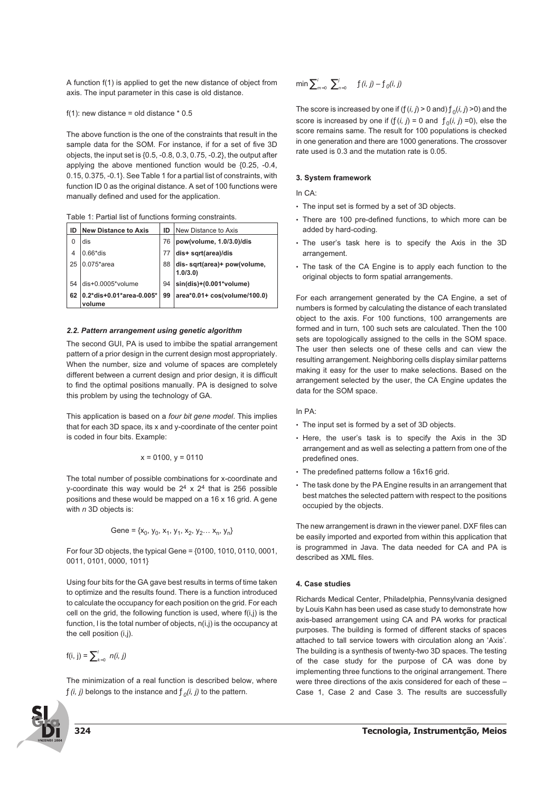A function f(1) is applied to get the new distance of object from axis. The input parameter in this case is old distance.

#### f(1): new distance = old distance  $*$  0.5

The above function is the one of the constraints that result in the sample data for the SOM. For instance, if for a set of five 3D objects, the input set is {0.5, -0.8, 0.3, 0.75, -0.2}, the output after applying the above mentioned function would be {0.25, -0.4, 0.15, 0.375, -0.1}. See Table 1 for a partial list of constraints, with function ID 0 as the original distance. A set of 100 functions were manually defined and used for the application.

|  |  | Table 1: Partial list of functions forming constraints. |
|--|--|---------------------------------------------------------|
|  |  |                                                         |

| ID | <b>New Distance to Axis</b>        | ID | New Distance to Axis                   |
|----|------------------------------------|----|----------------------------------------|
| O  | dis                                | 76 | pow(volume, 1.0/3.0)/dis               |
| 4  | $0.66*$ dis                        | 77 | dis+ sqrt(area)/dis                    |
| 25 | $0.075*$ area                      | 88 | dis-sqrt(area)+ pow(volume,<br>1.0/3.0 |
| 54 | dis+0.0005*volume                  | 94 | $sin(dis)+(0.001*volume)$              |
| 62 | 0.2*dis+0.01*area-0.005*<br>volume | 99 | area*0.01+ cos(volume/100.0)           |

## **2.2. Pattern arrangement using genetic algorithm**

The second GUI, PA is used to imbibe the spatial arrangement pattern of a prior design in the current design most appropriately. When the number, size and volume of spaces are completely different between a current design and prior design, it is difficult to find the optimal positions manually. PA is designed to solve this problem by using the technology of GA.

This application is based on a *four bit gene model*. This implies that for each 3D space, its x and y-coordinate of the center point is coded in four bits. Example:

$$
x = 0100, y = 0110
$$

The total number of possible combinations for x-coordinate and y-coordinate this way would be  $2^4 \times 2^4$  that is 256 possible positions and these would be mapped on a 16 x 16 grid. A gene with *n* 3D objects is:

$$
Gene = \{x_0, y_0, x_1, y_1, x_2, y_2 \dots x_n, y_n\}
$$

For four 3D objects, the typical Gene = {0100, 1010, 0110, 0001, 0011, 0101, 0000, 1011}

Using four bits for the GA gave best results in terms of time taken to optimize and the results found. There is a function introduced to calculate the occupancy for each position on the grid. For each cell on the grid, the following function is used, where f(i,j) is the function, l is the total number of objects, n(i,j) is the occupancy at the cell position (i,j).

$$
f(i, j) = \sum_{k=0}^{j} n(i, j)
$$

The minimization of a real function is described below, where  $f(i, j)$  belongs to the instance and  $f_0(i, j)$  to the pattern.



The score is increased by one if  $(f(i, j) > 0$  and)  $f_0(i, j) > 0$  and the score is increased by one if  $(f(i, j) = 0$  and  $f_0(i, j) = 0$ ), else the score remains same. The result for 100 populations is checked in one generation and there are 1000 generations. The crossover rate used is 0.3 and the mutation rate is 0.05.

## **3. System framework**

In CA:

- The input set is formed by a set of 3D objects.
- There are 100 pre-defined functions, to which more can be added by hard-coding.
- The user's task here is to specify the Axis in the 3D arrangement.
- The task of the CA Engine is to apply each function to the original objects to form spatial arrangements.

For each arrangement generated by the CA Engine, a set of numbers is formed by calculating the distance of each translated object to the axis. For 100 functions, 100 arrangements are formed and in turn, 100 such sets are calculated. Then the 100 sets are topologically assigned to the cells in the SOM space. The user then selects one of these cells and can view the resulting arrangement. Neighboring cells display similar patterns making it easy for the user to make selections. Based on the arrangement selected by the user, the CA Engine updates the data for the SOM space.

## In PA:

- The input set is formed by a set of 3D objects.
- Here, the user's task is to specify the Axis in the 3D arrangement and as well as selecting a pattern from one of the predefined ones.
- The predefined patterns follow a 16x16 grid.
- The task done by the PA Engine results in an arrangement that best matches the selected pattern with respect to the positions occupied by the objects.

The new arrangement is drawn in the viewer panel. DXF files can be easily imported and exported from within this application that is programmed in Java. The data needed for CA and PA is described as XML files.

## **4. Case studies**

Richards Medical Center, Philadelphia, Pennsylvania designed by Louis Kahn has been used as case study to demonstrate how axis-based arrangement using CA and PA works for practical purposes. The building is formed of different stacks of spaces attached to tall service towers with circulation along an 'Axis'. The building is a synthesis of twenty-two 3D spaces. The testing of the case study for the purpose of CA was done by implementing three functions to the original arrangement. There were three directions of the axis considered for each of these – Case 1, Case 2 and Case 3. The results are successfully